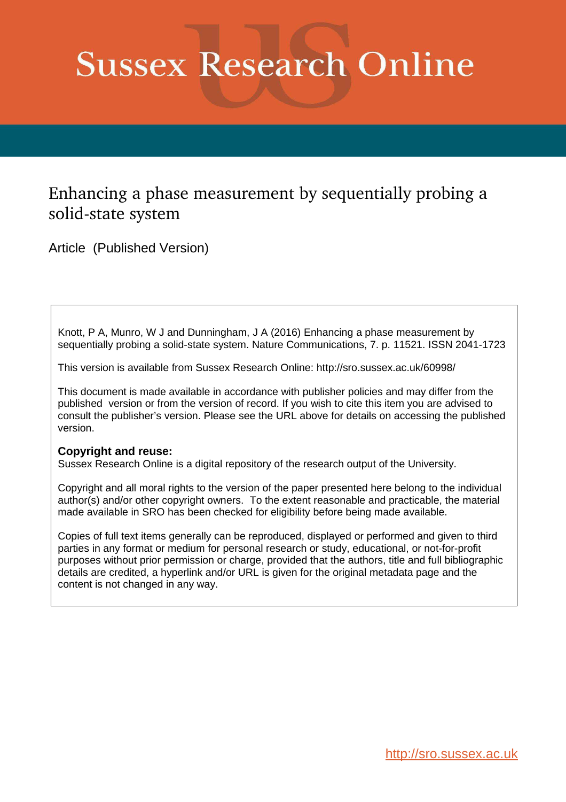# **Sussex Research Online**

## Enhancing a phase measurement by sequentially probing a solid-state system

Article (Published Version)

Knott, P A, Munro, W J and Dunningham, J A (2016) Enhancing a phase measurement by sequentially probing a solid-state system. Nature Communications, 7. p. 11521. ISSN 2041-1723

This version is available from Sussex Research Online: http://sro.sussex.ac.uk/60998/

This document is made available in accordance with publisher policies and may differ from the published version or from the version of record. If you wish to cite this item you are advised to consult the publisher's version. Please see the URL above for details on accessing the published version.

### **Copyright and reuse:**

Sussex Research Online is a digital repository of the research output of the University.

Copyright and all moral rights to the version of the paper presented here belong to the individual author(s) and/or other copyright owners. To the extent reasonable and practicable, the material made available in SRO has been checked for eligibility before being made available.

Copies of full text items generally can be reproduced, displayed or performed and given to third parties in any format or medium for personal research or study, educational, or not-for-profit purposes without prior permission or charge, provided that the authors, title and full bibliographic details are credited, a hyperlink and/or URL is given for the original metadata page and the content is not changed in any way.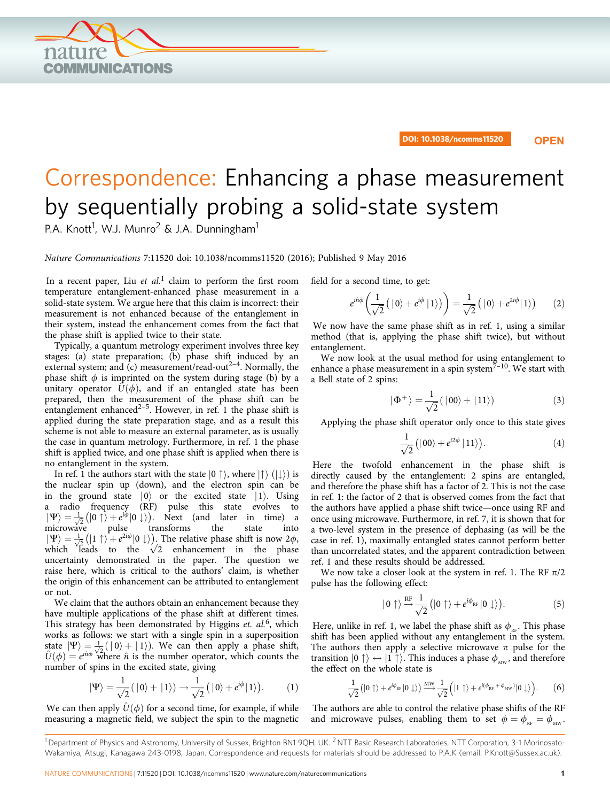NATURE COMMUNICATIONS | 7:11520 | DOI: 10.1038/ncomms11520 | [www.nature.com/naturecommunications](http://www.nature.com/naturecommunications) 1

## by sequentially probing a solid-state system P.A. Knott<sup>1</sup>, W.J. Munro<sup>2</sup> & J.A. Dunningham<sup>1</sup>

Correspondence: Enhancing a phase measurement

Nature Communications 7:11520 doi: 10.1038/ncomms11520 (2016); Published 9 May 2016

In a recent paper, Liu *et al*.<sup>1</sup> claim to perform the first room temperature entanglement-enhanced phase measurement in a solid-state system. We argue here that this claim is incorrect: their measurement is not enhanced because of the entanglement in their system, instead the enhancement comes from the fact that the phase shift is applied twice to their state.

Typically, a quantum metrology experiment involves three key stages: (a) state preparation; (b) phase shift induced by an external system; and  $(c)$  measurement/read-out<sup>2-4</sup>. Normally, the phase shift  $\phi$  is imprinted on the system during stage (b) by a unitary operator  $\hat{U}(\phi)$ , and if an entangled state has been prepared, then the measurement of the phase shift can be entanglement enhanced<sup>2-5</sup>. However, in ref. 1 the phase shift is applied during the state preparation stage, and as a result this scheme is not able to measure an external parameter, as is usually the case in quantum metrology. Furthermore, in ref. 1 the phase shift is applied twice, and one phase shift is applied when there is no entanglement in the system.

In ref. 1 the authors start with the state  $|0 \uparrow \rangle$ , where  $| \uparrow \rangle$   $(| \downarrow \rangle)$  is the nuclear spin up (down), and the electron spin can be in the ground state  $|0\rangle$  or the excited state  $|1\rangle$ . Using a radio frequency (RF) pulse this state evolves to a radio frequency (RF) pulse this state evolves to  $|\Psi\rangle = \frac{1}{\sqrt{2}} (|0 \uparrow\rangle + e^{i\phi} |0 \downarrow\rangle)$ . Next (and later in time) a microwave microwave pulse transforms the state into  $|\Psi\rangle = \frac{1}{\sqrt{2}} (|1 \uparrow\rangle + e^{2i\phi} |0 \downarrow\rangle)$ . The relative phase shift is now 2 $\phi$ , which leads to the  $\sqrt{2}$  enhancement in the phase uncertainty demonstrated in the paper. The question we raise here, which is critical to the authors' claim, is whether the origin of this enhancement can be attributed to entanglement or not.

We claim that the authors obtain an enhancement because they have multiple applications of the phase shift at different times. This strategy has been demonstrated by Higgins et. al.<sup>6</sup>, which works as follows: we start with a single spin in a superposition state  $|\Psi\rangle = \frac{1}{\sqrt{2}}(|0\rangle + |1\rangle)$ . We can then apply a phase shift,<br>  $\hat{U}(\phi) = e^{i\theta \phi}$  where  $\hat{n}$  is the number operator, which counts the number of spins in the excited state, giving

$$
|\Psi\rangle = \frac{1}{\sqrt{2}}(|0\rangle + |1\rangle) \rightarrow \frac{1}{\sqrt{2}}(|0\rangle + e^{i\phi}|1\rangle). \tag{1}
$$

We can then apply  $\hat{U}(\phi)$  for a second time, for example, if while measuring a magnetic field, we subject the spin to the magnetic field for a second time, to get:

$$
e^{i\hat{n}\phi}\left(\frac{1}{\sqrt{2}}\left(\left|\left.0\right\rangle\right.\right)+e^{i\phi}\left|\left.\left.\right\right.\right\rangle\right)\right)=\frac{1}{\sqrt{2}}\left(\left|\left.0\right\rangle\right.+e^{2i\phi}\left|\left.\right\right.\right)\right)\qquad(2)
$$

We now have the same phase shift as in ref. 1, using a similar method (that is, applying the phase shift twice), but without entanglement.

We now look at the usual method for using entanglement to enhance a phase measurement in a spin system $7-10$ . We start with a Bell state of 2 spins:

$$
|\Phi^{+}\rangle = \frac{1}{\sqrt{2}}(|00\rangle + |11\rangle)
$$
 (3)

Applying the phase shift operator only once to this state gives

$$
\frac{1}{\sqrt{2}}\left(|00\rangle + e^{i2\phi}|11\rangle\right).
$$
 (4)

Here the twofold enhancement in the phase shift is directly caused by the entanglement: 2 spins are entangled, and therefore the phase shift has a factor of 2. This is not the case in ref. 1: the factor of 2 that is observed comes from the fact that the authors have applied a phase shift twice—once using RF and once using microwave. Furthermore, in ref. 7, it is shown that for a two-level system in the presence of dephasing (as will be the case in ref. 1), maximally entangled states cannot perform better than uncorrelated states, and the apparent contradiction between ref. 1 and these results should be addressed.

We now take a closer look at the system in ref. 1. The RF  $\pi/2$ pulse has the following effect:

$$
|0\uparrow\rangle \stackrel{\rm RF}{\rightarrow} \frac{1}{\sqrt{2}}\big(|0\uparrow\rangle + e^{i\phi_{\rm RF}}|0\downarrow\rangle\big).
$$
 (5)

Here, unlike in ref. 1, we label the phase shift as  $\phi_{RF}$ . This phase shift has been applied without any entanglement in the system. The authors then apply a selective microwave  $\pi$  pulse for the transition  $|0 \uparrow\rangle \leftrightarrow |1 \uparrow\rangle$ . This induces a phase  $\phi_{\text{MW}}$ , and therefore the effect on the whole state is

$$
\frac{1}{\sqrt{2}}\big(|0\uparrow\rangle + e^{i\phi_{RF}}|0\downarrow\rangle\big) \xrightarrow{\text{MW}} \frac{1}{\sqrt{2}}\Big(|1\uparrow\rangle + e^{i(\phi_{RF} + \phi_{MW})}|0\downarrow\rangle\Big). \tag{6}
$$

The authors are able to control the relative phase shifts of the RF and microwave pulses, enabling them to set  $\phi = \phi_{RF} = \phi_{MW}$ .

DOI: 10.1038/ncomms11520 **OPEN**

<span id="page-1-0"></span>

 $1$ Department of Physics and Astronomy, University of Sussex, Brighton BN1 9OH, UK.  $2$ NTT Basic Research Laboratories, NTT Corporation, 3-1 Morinosato-Wakamiya, Atsugi, Kanagawa 243-0198, Japan. Correspondence and requests for materials should be addressed to P.A.K (email: [P.Knott@Sussex.ac.uk\)](mailto:P.Knott@Sussex.ac.uk).